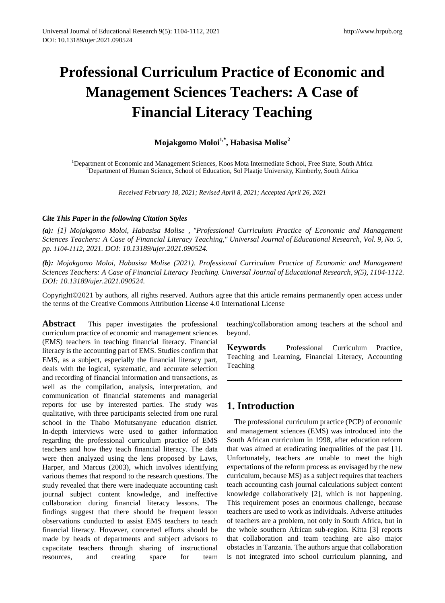# **Professional Curriculum Practice of Economic and Management Sciences Teachers: A Case of Financial Literacy Teaching**

**Mojakgomo Moloi1,\*, Habasisa Molise2** 

<sup>1</sup>Department of Economic and Management Sciences, Koos Mota Intermediate School, Free State, South Africa<br><sup>2</sup>Department of Human Science, School of Education, Sol Plastia University Kimberly, South Africa  $<sup>2</sup>D$ epartment of Human Science, School of Education, Sol Plaatje University, Kimberly, South Africa</sup>

*Received February 18, 2021; Revised April 8, 2021; Accepted April 26, 2021*

#### *Cite This Paper in the following Citation Styles*

*(a): [1] Mojakgomo Moloi, Habasisa Molise , "Professional Curriculum Practice of Economic and Management Sciences Teachers: A Case of Financial Literacy Teaching," Universal Journal of Educational Research, Vol. 9, No. 5, pp. 1104-1112, 2021. DOI: 10.13189/ujer.2021.090524.* 

*(b): Mojakgomo Moloi, Habasisa Molise (2021). Professional Curriculum Practice of Economic and Management Sciences Teachers: A Case of Financial Literacy Teaching. Universal Journal of Educational Research, 9(5), 1104-1112. DOI: 10.13189/ujer.2021.090524.* 

Copyright©2021 by authors, all rights reserved. Authors agree that this article remains permanently open access under the terms of the Creative Commons Attribution License 4.0 International License

**Abstract** This paper investigates the professional curriculum practice of economic and management sciences (EMS) teachers in teaching financial literacy. Financial literacy is the accounting part of EMS. Studies confirm that EMS, as a subject, especially the financial literacy part, deals with the logical, systematic, and accurate selection and recording of financial information and transactions, as well as the compilation, analysis, interpretation, and communication of financial statements and managerial reports for use by interested parties. The study was qualitative, with three participants selected from one rural school in the Thabo Mofutsanyane education district. In-depth interviews were used to gather information regarding the professional curriculum practice of EMS teachers and how they teach financial literacy. The data were then analyzed using the lens proposed by Laws, Harper, and Marcus (2003), which involves identifying various themes that respond to the research questions. The study revealed that there were inadequate accounting cash journal subject content knowledge, and ineffective collaboration during financial literacy lessons. The findings suggest that there should be frequent lesson observations conducted to assist EMS teachers to teach financial literacy. However, concerted efforts should be made by heads of departments and subject advisors to capacitate teachers through sharing of instructional resources, and creating space for team

teaching/collaboration among teachers at the school and beyond.

**Keywords** Professional Curriculum Practice, Teaching and Learning, Financial Literacy, Accounting Teaching

# **1. Introduction**

The professional curriculum practice (PCP) of economic and management sciences (EMS) was introduced into the South African curriculum in 1998, after education reform that was aimed at eradicating inequalities of the past [1]. Unfortunately, teachers are unable to meet the high expectations of the reform process as envisaged by the new curriculum, because MS) as a subject requires that teachers teach accounting cash journal calculations subject content knowledge collaboratively [2], which is not happening. This requirement poses an enormous challenge, because teachers are used to work as individuals. Adverse attitudes of teachers are a problem, not only in South Africa, but in the whole southern African sub-region. Kitta [3] reports that collaboration and team teaching are also major obstacles in Tanzania. The authors argue that collaboration is not integrated into school curriculum planning, and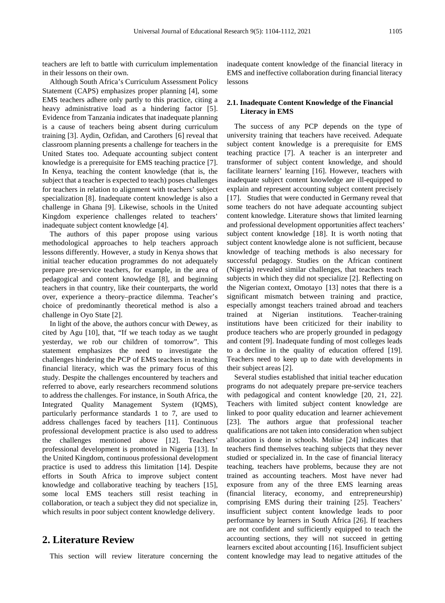teachers are left to battle with curriculum implementation in their lessons on their own.

Although South Africa's Curriculum Assessment Policy Statement (CAPS) emphasizes proper planning [4], some EMS teachers adhere only partly to this practice, citing a heavy administrative load as a hindering factor [5]. Evidence from Tanzania indicates that inadequate planning is a cause of teachers being absent during curriculum training [3]. Aydin, Ozfidan, and Carothers [6] reveal that classroom planning presents a challenge for teachers in the United States too. Adequate accounting subject content knowledge is a prerequisite for EMS teaching practice [7]. In Kenya, teaching the content knowledge (that is, the subject that a teacher is expected to teach) poses challenges for teachers in relation to alignment with teachers' subject specialization [8]. Inadequate content knowledge is also a challenge in Ghana [9]. Likewise, schools in the United Kingdom experience challenges related to teachers' inadequate subject content knowledge [4].

The authors of this paper propose using various methodological approaches to help teachers approach lessons differently. However, a study in Kenya shows that initial teacher education programmes do not adequately prepare pre-service teachers, for example, in the area of pedagogical and content knowledge [8], and beginning teachers in that country, like their counterparts, the world over, experience a theory–practice dilemma. Teacher's choice of predominantly theoretical method is also a challenge in Oyo State [2].

In light of the above, the authors concur with Dewey, as cited by Agu [10], that, "If we teach today as we taught yesterday, we rob our children of tomorrow". This statement emphasizes the need to investigate the challenges hindering the PCP of EMS teachers in teaching financial literacy, which was the primary focus of this study. Despite the challenges encountered by teachers and referred to above, early researchers recommend solutions to address the challenges. For instance, in South Africa, the Integrated Quality Management System (IQMS), particularly performance standards 1 to 7, are used to address challenges faced by teachers [11]. Continuous professional development practice is also used to address the challenges mentioned above [12]. Teachers' professional development is promoted in Nigeria [13]. In the United Kingdom, continuous professional development practice is used to address this limitation [14]. Despite efforts in South Africa to improve subject content knowledge and collaborative teaching by teachers [15], some local EMS teachers still resist teaching in collaboration, or teach a subject they did not specialize in, which results in poor subject content knowledge delivery.

# **2. Literature Review**

This section will review literature concerning the

inadequate content knowledge of the financial literacy in EMS and ineffective collaboration during financial literacy lessons

#### **2.1. Inadequate Content Knowledge of the Financial Literacy in EMS**

The success of any PCP depends on the type of university training that teachers have received. Adequate subject content knowledge is a prerequisite for EMS teaching practice [7]. A teacher is an interpreter and transformer of subject content knowledge, and should facilitate learners' learning [16]. However, teachers with inadequate subject content knowledge are ill-equipped to explain and represent accounting subject content precisely [17]. Studies that were conducted in Germany reveal that some teachers do not have adequate accounting subject content knowledge. Literature shows that limited learning and professional development opportunities affect teachers' subject content knowledge [18]. It is worth noting that subject content knowledge alone is not sufficient, because knowledge of teaching methods is also necessary for successful pedagogy. Studies on the African continent (Nigeria) revealed similar challenges, that teachers teach subjects in which they did not specialize [2]. Reflecting on the Nigerian context, Omotayo [13] notes that there is a significant mismatch between training and practice, especially amongst teachers trained abroad and teachers trained at Nigerian institutions. Teacher-training institutions have been criticized for their inability to produce teachers who are properly grounded in pedagogy and content [9]. Inadequate funding of most colleges leads to a decline in the quality of education offered [19]. Teachers need to keep up to date with developments in their subject areas [2].

Several studies established that initial teacher education programs do not adequately prepare pre-service teachers with pedagogical and content knowledge [20, 21, 22]. Teachers with limited subject content knowledge are linked to poor quality education and learner achievement [23]. The authors argue that professional teacher qualifications are not taken into consideration when subject allocation is done in schools. Molise [24] indicates that teachers find themselves teaching subjects that they never studied or specialized in. In the case of financial literacy teaching, teachers have problems, because they are not trained as accounting teachers. Most have never had exposure from any of the three EMS learning areas (financial literacy, economy, and entrepreneurship) comprising EMS during their training [25]. Teachers' insufficient subject content knowledge leads to poor performance by learners in South Africa [26]. If teachers are not confident and sufficiently equipped to teach the accounting sections, they will not succeed in getting learners excited about accounting [16]. Insufficient subject content knowledge may lead to negative attitudes of the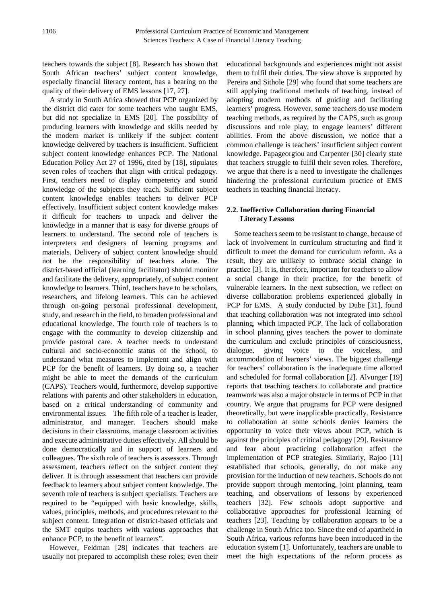teachers towards the subject [8]. Research has shown that South African teachers' subject content knowledge, especially financial literacy content, has a bearing on the quality of their delivery of EMS lessons [17, 27].

A study in South Africa showed that PCP organized by the district did cater for some teachers who taught EMS, but did not specialize in EMS [20]. The possibility of producing learners with knowledge and skills needed by the modern market is unlikely if the subject content knowledge delivered by teachers is insufficient. Sufficient subject content knowledge enhances PCP. The National Education Policy Act 27 of 1996**,** cited by [18], stipulates seven roles of teachers that align with critical pedagogy. First, teachers need to display competency and sound knowledge of the subjects they teach. Sufficient subject content knowledge enables teachers to deliver PCP effectively. Insufficient subject content knowledge makes it difficult for teachers to unpack and deliver the knowledge in a manner that is easy for diverse groups of learners to understand. The second role of teachers is interpreters and designers of learning programs and materials. Delivery of subject content knowledge should not be the responsibility of teachers alone. The district-based official (learning facilitator) should monitor and facilitate the delivery, appropriately, of subject content knowledge to learners. Third, teachers have to be scholars, researchers, and lifelong learners. This can be achieved through on-going personal professional development, study, and research in the field, to broaden professional and educational knowledge. The fourth role of teachers is to engage with the community to develop citizenship and provide pastoral care. A teacher needs to understand cultural and socio-economic status of the school, to understand what measures to implement and align with PCP for the benefit of learners. By doing so, a teacher might be able to meet the demands of the curriculum (CAPS). Teachers would, furthermore, develop supportive relations with parents and other stakeholders in education, based on a critical understanding of community and environmental issues. The fifth role of a teacher is leader, administrator, and manager. Teachers should make decisions in their classrooms, manage classroom activities and execute administrative duties effectively. All should be done democratically and in support of learners and colleagues. The sixth role of teachers is assessors. Through assessment, teachers reflect on the subject content they deliver. It is through assessment that teachers can provide feedback to learners about subject content knowledge. The seventh role of teachers is subject specialists. Teachers are required to be "equipped with basic knowledge, skills, values, principles, methods, and procedures relevant to the subject content. Integration of district-based officials and the SMT equips teachers with various approaches that enhance PCP, to the benefit of learners".

However, Feldman [28] indicates that teachers are usually not prepared to accomplish these roles; even their educational backgrounds and experiences might not assist them to fulfil their duties. The view above is supported by Pereira and Sithole [29] who found that some teachers are still applying traditional methods of teaching, instead of adopting modern methods of guiding and facilitating learners' progress. However, some teachers do use modern teaching methods, as required by the CAPS, such as group discussions and role play, to engage learners' different abilities. From the above discussion, we notice that a common challenge is teachers' insufficient subject content knowledge. Papageorgiou and Carpenter [30] clearly state that teachers struggle to fulfil their seven roles. Therefore, we argue that there is a need to investigate the challenges hindering the professional curriculum practice of EMS teachers in teaching financial literacy.

#### **2.2. Ineffective Collaboration during Financial Literacy Lessons**

Some teachers seem to be resistant to change, because of lack of involvement in curriculum structuring and find it difficult to meet the demand for curriculum reform. As a result, they are unlikely to embrace social change in practice [3]. It is, therefore, important for teachers to allow a social change in their practice, for the benefit of vulnerable learners. In the next subsection, we reflect on diverse collaboration problems experienced globally in PCP for EMS. A study conducted by Dube [31], found that teaching collaboration was not integrated into school planning, which impacted PCP. The lack of collaboration in school planning gives teachers the power to dominate the curriculum and exclude principles of consciousness, dialogue, giving voice to the voiceless, and accommodation of learners' views. The biggest challenge for teachers' collaboration is the inadequate time allotted and scheduled for formal collaboration [2]. Alvunger [19] reports that teaching teachers to collaborate and practice teamwork was also a major obstacle in terms of PCP in that country. We argue that programs for PCP were designed theoretically, but were inapplicable practically. Resistance to collaboration at some schools denies learners the opportunity to voice their views about PCP, which is against the principles of critical pedagogy [29]. Resistance and fear about practicing collaboration affect the implementation of PCP strategies. Similarly, Rajoo [11] established that schools, generally, do not make any provision for the induction of new teachers. Schools do not provide support through mentoring, joint planning, team teaching, and observations of lessons by experienced teachers [32]. Few schools adopt supportive and collaborative approaches for professional learning of teachers [23]. Teaching by collaboration appears to be a challenge in South Africa too. Since the end of apartheid in South Africa, various reforms have been introduced in the education system [1]. Unfortunately, teachers are unable to meet the high expectations of the reform process as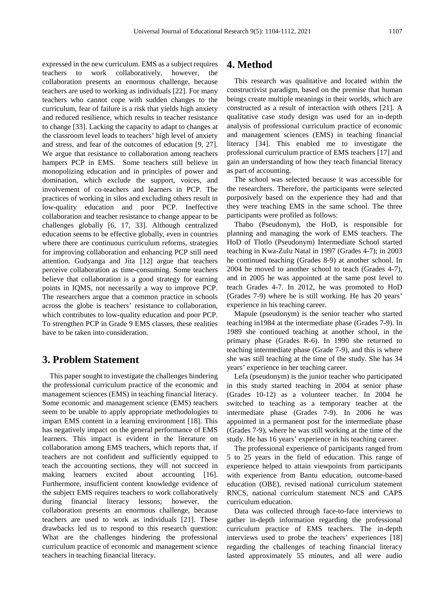expressed in the new curriculum. EMS as a subject requires teachers to work collaboratively, however, the collaboration presents an enormous challenge, because teachers are used to working as individuals [22]. For many teachers who cannot cope with sudden changes to the curriculum, fear of failure is a risk that yields high anxiety and reduced resilience, which results in teacher resistance to change [33]. Lacking the capacity to adapt to changes at the classroom level leads to teachers' high level of anxiety and stress, and fear of the outcomes of education [9, 27]. We argue that resistance to collaboration among teachers hampers PCP in EMS. Some teachers still believe in monopolizing education and in principles of power and domination, which exclude the support, voices, and involvement of co-teachers and learners in PCP. The practices of working in silos and excluding others result in low-quality education and poor PCP. Ineffective collaboration and teacher resistance to change appear to be challenges globally [6, 17, 33]. Although centralized education seems to be effective globally, even in countries where there are continuous curriculum reforms, strategies for improving collaboration and enhancing PCP still need attention. Gudyanga and Jita [12] argue that teachers perceive collaboration as time-consuming. Some teachers believe that collaboration is a good strategy for earning points in IQMS, not necessarily a way to improve PCP. The researchers argue that a common practice in schools across the globe is teachers' resistance to collaboration, which contributes to low-quality education and poor PCP. To strengthen PCP in Grade 9 EMS classes, these realities have to be taken into consideration.

# **3. Problem Statement**

This paper sought to investigate the challenges hindering the professional curriculum practice of the economic and management sciences (EMS) in teaching financial literacy. Some economic and management science (EMS) teachers seem to be unable to apply appropriate methodologies to impart EMS content in a learning environment [18]. This has negatively impact on the general performance of EMS learners. This impact is evident in the literature on collaboration among EMS teachers, which reports that, if teachers are not confident and sufficiently equipped to teach the accounting sections, they will not succeed in making learners excited about accounting [16]. Furthermore, insufficient content knowledge evidence of the subject EMS requires teachers to work collaboratively during financial literacy lessons; however, the collaboration presents an enormous challenge, because teachers are used to work as individuals [21]. These drawbacks led us to respond to this research question: What are the challenges hindering the professional curriculum practice of economic and management science teachers in teaching financial literacy.

#### **4. Method**

This research was qualitative and located within the constructivist paradigm, based on the premise that human beings create multiple meanings in their worlds, which are constructed as a result of interaction with others [21]. A qualitative case study design was used for an in-depth analysis of professional curriculum practice of economic and management sciences (EMS) in teaching financial literacy [34]. This enabled me to investigate the professional curriculum practice of EMS teachers [17] and gain an understanding of how they teach financial literacy as part of accounting.

The school was selected because it was accessible for the researchers. Therefore, the participants were selected purposively based on the experience they had and that they were teaching EMS in the same school. The three participants were profiled as follows:

Thabo (Pseudonym), the HoD, is responsible for planning and managing the work of EMS teachers. The HoD of Tlotlo (Pseudonym) Intermediate School started teaching in Kwa-Zulu Natal in 1997 (Grades 4-7); in 2003 he continued teaching (Grades 8-9) at another school. In 2004 he moved to another school to teach (Grades 4-7), and in 2005 he was appointed at the same post level to teach Grades 4-7. In 2012, he was promoted to HoD (Grades 7-9) where he is still working. He has 20 years' experience in his teaching career.

Mapule (pseudonym) is the senior teacher who started teaching in1984 at the intermediate phase (Grades 7-9). In 1989 she continued teaching at another school, in the primary phase (Grades R-6). In 1990 she returned to teaching intermediate phase (Grade 7-9), and this is where she was still teaching at the time of the study. She has 34 years' experience in her teaching career.

Lefa (pseudonym) is the junior teacher who participated in this study started teaching in 2004 at senior phase (Grades 10-12) as a volunteer teacher. In 2004 he switched to teaching as a temporary teacher at the intermediate phase (Grades 7-9). In 2006 he was appointed in a permanent post for the intermediate phase (Grades 7-9), where he was still working at the time of the study. He has 16 years' experience in his teaching career.

The professional experience of participants ranged from 5 to 25 years in the field of education. This range of experience helped to attain viewpoints from participants with experience from Bantu education, outcome-based education (OBE), revised national curriculum statement RNCS, national curriculum statement NCS and CAPS curriculum education.

Data was collected through face-to-face interviews to gather in-depth information regarding the professional curriculum practice of EMS teachers. The in-depth interviews used to probe the teachers' experiences [18] regarding the challenges of teaching financial literacy lasted approximately 55 minutes, and all were audio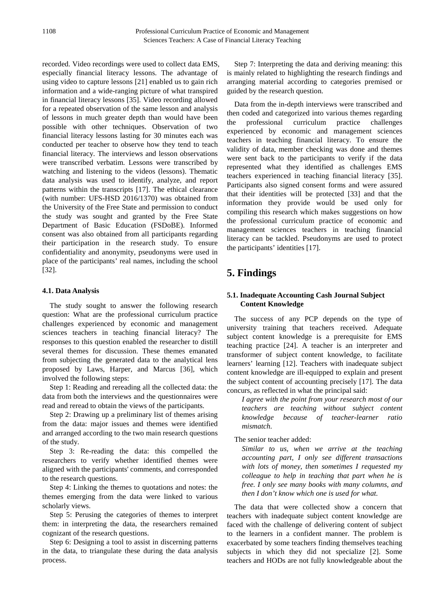recorded. Video recordings were used to collect data EMS, especially financial literacy lessons. The advantage of using video to capture lessons [21] enabled us to gain rich information and a wide-ranging picture of what transpired in financial literacy lessons [35]. Video recording allowed for a repeated observation of the same lesson and analysis of lessons in much greater depth than would have been possible with other techniques. Observation of two financial literacy lessons lasting for 30 minutes each was conducted per teacher to observe how they tend to teach financial literacy. The interviews and lesson observations were transcribed verbatim. Lessons were transcribed by watching and listening to the videos (lessons). Thematic data analysis was used to identify, analyze, and report patterns within the transcripts [17]. The ethical clearance (with number: UFS-HSD 2016/1370) was obtained from the University of the Free State and permission to conduct the study was sought and granted by the Free State Department of Basic Education (FSDoBE). Informed consent was also obtained from all participants regarding their participation in the research study. To ensure confidentiality and anonymity, pseudonyms were used in place of the participants' real names, including the school [32].

#### **4.1. Data Analysis**

The study sought to answer the following research question: What are the professional curriculum practice challenges experienced by economic and management sciences teachers in teaching financial literacy? The responses to this question enabled the researcher to distill several themes for discussion. These themes emanated from subjecting the generated data to the analytical lens proposed by Laws, Harper, and Marcus [36], which involved the following steps:

Step 1: Reading and rereading all the collected data: the data from both the interviews and the questionnaires were read and reread to obtain the views of the participants.

Step 2: Drawing up a preliminary list of themes arising from the data: major issues and themes were identified and arranged according to the two main research questions of the study.

Step 3: Re-reading the data: this compelled the researchers to verify whether identified themes were aligned with the participants' comments, and corresponded to the research questions.

Step 4: Linking the themes to quotations and notes: the themes emerging from the data were linked to various scholarly views.

Step 5: Perusing the categories of themes to interpret them: in interpreting the data, the researchers remained cognizant of the research questions.

Step 6: Designing a tool to assist in discerning patterns in the data, to triangulate these during the data analysis process.

Step 7: Interpreting the data and deriving meaning: this is mainly related to highlighting the research findings and arranging material according to categories premised or guided by the research question.

Data from the in-depth interviews were transcribed and then coded and categorized into various themes regarding the professional curriculum practice challenges experienced by economic and management sciences teachers in teaching financial literacy. To ensure the validity of data, member checking was done and themes were sent back to the participants to verify if the data represented what they identified as challenges EMS teachers experienced in teaching financial literacy [35]. Participants also signed consent forms and were assured that their identities will be protected [33] and that the information they provide would be used only for compiling this research which makes suggestions on how the professional curriculum practice of economic and management sciences teachers in teaching financial literacy can be tackled. Pseudonyms are used to protect the participants' identities [17].

# **5. Findings**

#### **5.1. Inadequate Accounting Cash Journal Subject Content Knowledge**

The success of any PCP depends on the type of university training that teachers received. Adequate subject content knowledge is a prerequisite for EMS teaching practice [24]. A teacher is an interpreter and transformer of subject content knowledge, to facilitate learners' learning [12]. Teachers with inadequate subject content knowledge are ill-equipped to explain and present the subject content of accounting precisely [17]. The data concurs, as reflected in what the principal said:

*I agree with the point from your research most of our teachers are teaching without subject content knowledge because of teacher-learner ratio mismatch.*

The senior teacher added:

*Similar to us, when we arrive at the teaching accounting part, I only see different transactions with lots of money, then sometimes I requested my colleague to help in teaching that part when he is free. I only see many books with many columns, and then I don't know which one is used for what.*

The data that were collected show a concern that teachers with inadequate subject content knowledge are faced with the challenge of delivering content of subject to the learners in a confident manner. The problem is exacerbated by some teachers finding themselves teaching subjects in which they did not specialize [2]. Some teachers and HODs are not fully knowledgeable about the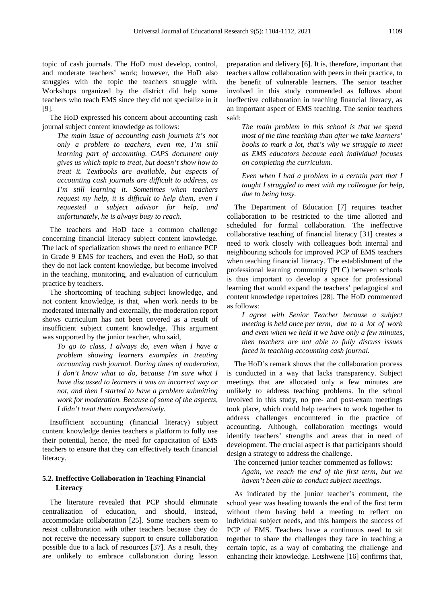topic of cash journals. The HoD must develop, control, and moderate teachers' work; however, the HoD also struggles with the topic the teachers struggle with. Workshops organized by the district did help some teachers who teach EMS since they did not specialize in it [9].

The HoD expressed his concern about accounting cash journal subject content knowledge as follows:

*The main issue of accounting cash journals it's not only a problem to teachers, even me, I'm still learning part of accounting. CAPS document only gives us which topic to treat, but doesn't show how to treat it. Textbooks are available, but aspects of accounting cash journals are difficult to address, as I'm still learning it. Sometimes when teachers request my help, it is difficult to help them, even I requested a subject advisor for help, and unfortunately, he is always busy to reach.* 

The teachers and HoD face a common challenge concerning financial literacy subject content knowledge. The lack of specialization shows the need to enhance PCP in Grade 9 EMS for teachers, and even the HoD, so that they do not lack content knowledge, but become involved in the teaching, monitoring, and evaluation of curriculum practice by teachers.

The shortcoming of teaching subject knowledge, and not content knowledge, is that, when work needs to be moderated internally and externally, the moderation report shows curriculum has not been covered as a result of insufficient subject content knowledge. This argument was supported by the junior teacher, who said,

*To go to class, I always do, even when I have a problem showing learners examples in treating accounting cash journal. During times of moderation, I don't know what to do, because I'm sure what I have discussed to learners it was an incorrect way or not, and then I started to have a problem submitting work for moderation. Because of some of the aspects, I didn't treat them comprehensively.*

Insufficient accounting (financial literacy) subject content knowledge denies teachers a platform to fully use their potential, hence, the need for capacitation of EMS teachers to ensure that they can effectively teach financial literacy.

#### **5.2. Ineffective Collaboration in Teaching Financial Literacy**

The literature revealed that PCP should eliminate centralization of education, and should, instead, accommodate collaboration [25]. Some teachers seem to resist collaboration with other teachers because they do not receive the necessary support to ensure collaboration possible due to a lack of resources [37]. As a result, they are unlikely to embrace collaboration during lesson

preparation and delivery [6]. It is, therefore, important that teachers allow collaboration with peers in their practice, to the benefit of vulnerable learners. The senior teacher involved in this study commended as follows about ineffective collaboration in teaching financial literacy, as an important aspect of EMS teaching. The senior teachers said:

*The main problem in this school is that we spend most of the time teaching than after we take learners' books to mark a lot, that's why we struggle to meet as EMS educators because each individual focuses on completing the curriculum.*

*Even when I had a problem in a certain part that I taught I struggled to meet with my colleague for help, due to being busy.*

The Department of Education [7] requires teacher collaboration to be restricted to the time allotted and scheduled for formal collaboration. The ineffective collaborative teaching of financial literacy [31] creates a need to work closely with colleagues both internal and neighbouring schools for improved PCP of EMS teachers when teaching financial literacy. The establishment of the professional learning community (PLC) between schools is thus important to develop a space for professional learning that would expand the teachers' pedagogical and content knowledge repertoires [28]. The HoD commented as follows:

*I agree with Senior Teacher because a subject meeting is held once per term, due to a lot of work and even when we held it we have only a few minutes, then teachers are not able to fully discuss issues faced in teaching accounting cash journal.*

The HoD's remark shows that the collaboration process is conducted in a way that lacks transparency. Subject meetings that are allocated only a few minutes are unlikely to address teaching problems. In the school involved in this study, no pre- and post-exam meetings took place, which could help teachers to work together to address challenges encountered in the practice of accounting. Although, collaboration meetings would identify teachers' strengths and areas that in need of development. The crucial aspect is that participants should design a strategy to address the challenge.

The concerned junior teacher commented as follows: *Again, we reach the end of the first term, but we haven't been able to conduct subject meetings.*

As indicated by the junior teacher's comment, the school year was heading towards the end of the first term without them having held a meeting to reflect on individual subject needs, and this hampers the success of PCP of EMS. Teachers have a continuous need to sit together to share the challenges they face in teaching a certain topic, as a way of combating the challenge and enhancing their knowledge. Letshwene [16] confirms that,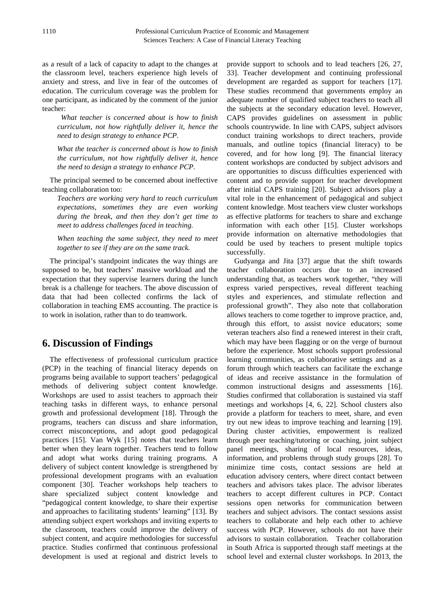as a result of a lack of capacity to adapt to the changes at the classroom level, teachers experience high levels of anxiety and stress, and live in fear of the outcomes of education. The curriculum coverage was the problem for one participant, as indicated by the comment of the junior teacher:

*What teacher is concerned about is how to finish curriculum, not how rightfully deliver it, hence the need to design strategy to enhance PCP.*

*What the teacher is concerned about is how to finish the curriculum, not how rightfully deliver it, hence the need to design a strategy to enhance PCP.*

The principal seemed to be concerned about ineffective teaching collaboration too:

*Teachers are working very hard to reach curriculum expectations, sometimes they are even working during the break, and then they don't get time to meet to address challenges faced in teaching.*

*When teaching the same subject, they need to meet together to see if they are on the same track.*

The principal's standpoint indicates the way things are supposed to be, but teachers' massive workload and the expectation that they supervise learners during the lunch break is a challenge for teachers. The above discussion of data that had been collected confirms the lack of collaboration in teaching EMS accounting. The practice is to work in isolation, rather than to do teamwork.

# **6. Discussion of Findings**

The effectiveness of professional curriculum practice (PCP) in the teaching of financial literacy depends on programs being available to support teachers' pedagogical methods of delivering subject content knowledge. Workshops are used to assist teachers to approach their teaching tasks in different ways, to enhance personal growth and professional development [18]. Through the programs, teachers can discuss and share information, correct misconceptions, and adopt good pedagogical practices [15]. Van Wyk [15] notes that teachers learn better when they learn together. Teachers tend to follow and adopt what works during training programs. A delivery of subject content knowledge is strengthened by professional development programs with an evaluation component [30]. Teacher workshops help teachers to share specialized subject content knowledge and "pedagogical content knowledge, to share their expertise and approaches to facilitating students' learning" [13]. By attending subject expert workshops and inviting experts to the classroom, teachers could improve the delivery of subject content, and acquire methodologies for successful practice. Studies confirmed that continuous professional development is used at regional and district levels to

provide support to schools and to lead teachers [26, 27, 33]. Teacher development and continuing professional development are regarded as support for teachers [17]. These studies recommend that governments employ an adequate number of qualified subject teachers to teach all the subjects at the secondary education level. However, CAPS provides guidelines on assessment in public schools countrywide. In line with CAPS, subject advisors conduct training workshops to direct teachers, provide manuals, and outline topics (financial literacy) to be covered, and for how long [9]. The financial literacy content workshops are conducted by subject advisors and are opportunities to discuss difficulties experienced with content and to provide support for teacher development after initial CAPS training [20]. Subject advisors play a vital role in the enhancement of pedagogical and subject content knowledge. Most teachers view cluster workshops as effective platforms for teachers to share and exchange information with each other [15]. Cluster workshops provide information on alternative methodologies that could be used by teachers to present multiple topics successfully.

Gudyanga and Jita [37] argue that the shift towards teacher collaboration occurs due to an increased understanding that, as teachers work together, "they will express varied perspectives, reveal different teaching styles and experiences, and stimulate reflection and professional growth". They also note that collaboration allows teachers to come together to improve practice, and, through this effort, to assist novice educators; some veteran teachers also find a renewed interest in their craft, which may have been flagging or on the verge of burnout before the experience. Most schools support professional learning communities, as collaborative settings and as a forum through which teachers can facilitate the exchange of ideas and receive assistance in the formulation of common instructional designs and assessments [16]. Studies confirmed that collaboration is sustained via staff meetings and workshops [4, 6, 22]. School clusters also provide a platform for teachers to meet, share, and even try out new ideas to improve teaching and learning [19]. During cluster activities, empowerment is realized through peer teaching/tutoring or coaching, joint subject panel meetings, sharing of local resources, ideas, information, and problems through study groups [28]. To minimize time costs, contact sessions are held at education advisory centers, where direct contact between teachers and advisors takes place. The advisor liberates teachers to accept different cultures in PCP. Contact sessions open networks for communication between teachers and subject advisors. The contact sessions assist teachers to collaborate and help each other to achieve success with PCP. However, schools do not have their advisors to sustain collaboration. Teacher collaboration in South Africa is supported through staff meetings at the school level and external cluster workshops. In 2013, the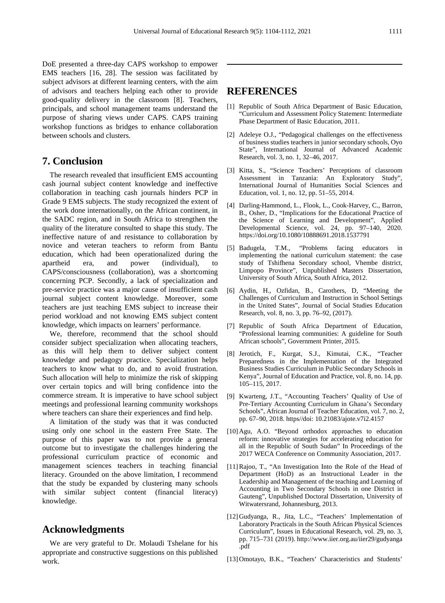DoE presented a three-day CAPS workshop to empower EMS teachers [16, 28]. The session was facilitated by subject advisors at different learning centers, with the aim of advisors and teachers helping each other to provide good-quality delivery in the classroom [8]. Teachers, principals, and school management teams understand the purpose of sharing views under CAPS. CAPS training workshop functions as bridges to enhance collaboration between schools and clusters.

# **7. Conclusion**

The research revealed that insufficient EMS accounting cash journal subject content knowledge and ineffective collaboration in teaching cash journals hinders PCP in Grade 9 EMS subjects. The study recognized the extent of the work done internationally, on the African continent, in the SADC region, and in South Africa to strengthen the quality of the literature consulted to shape this study. The ineffective nature of and resistance to collaboration by novice and veteran teachers to reform from Bantu education, which had been operationalized during the apartheid era, and power (individual), to CAPS/consciousness (collaboration), was a shortcoming concerning PCP. Secondly, a lack of specialization and pre-service practice was a major cause of insufficient cash journal subject content knowledge. Moreover, some teachers are just teaching EMS subject to increase their period workload and not knowing EMS subject content knowledge, which impacts on learners' performance.

We, therefore, recommend that the school should consider subject specialization when allocating teachers, as this will help them to deliver subject content knowledge and pedagogy practice. Specialization helps teachers to know what to do, and to avoid frustration. Such allocation will help to minimize the risk of skipping over certain topics and will bring confidence into the commerce stream. It is imperative to have school subject meetings and professional learning community workshops where teachers can share their experiences and find help.

A limitation of the study was that it was conducted using only one school in the eastern Free State. The purpose of this paper was to not provide a general outcome but to investigate the challenges hindering the professional curriculum practice of economic and management sciences teachers in teaching financial literacy. Grounded on the above limitation, I recommend that the study be expanded by clustering many schools with similar subject content (financial literacy) knowledge.

# **Acknowledgments**

We are very grateful to Dr. Molaudi Tshelane for his appropriate and constructive suggestions on this published work.

# **REFERENCES**

- [1] Republic of South Africa Department of Basic Education, "Curriculum and Assessment Policy Statement: Intermediate Phase Department of Basic Education, 2011.
- [2] Adeleye O.J., "Pedagogical challenges on the effectiveness of business studies teachers in junior secondary schools, Oyo State", International Journal of Advanced Academic Research, vol. 3, no. 1, 32–46, 2017.
- [3] Kitta, S., "Science Teachers' Perceptions of classroom Assessment in Tanzania: An Exploratory Study", International Journal of Humanities Social Sciences and Education, vol. 1, no. 12, pp. 51–55, 2014.
- [4] Darling-Hammond, L., Flook, L., Cook-Harvey, C., Barron, B., Osher, D., "Implications for the Educational Practice of the Science of Learning and Development", Applied Developmental Science, vol. 24, pp. 97-140, 2020. https://doi.org/10.1080/10888691.2018.1537791
- [5] Badugela, T.M., "Problems facing educators in implementing the national curriculum statement: the case study of Tshifhena Secondary school, Vhembe district, Limpopo Province", Unpublished Masters Dissertation, University of South Africa, South Africa, 2012.
- [6] Aydin, H., Ozfidan, B., Carothers, D, "Meeting the Challenges of Curriculum and Instruction in School Settings in the United States", Journal of Social Studies Education Research, vol. 8, no. 3, pp. 76–92, (2017).
- [7] Republic of South Africa Department of Education, "Professional learning communities: A guideline for South African schools", Government Printer, 2015.
- [8] Jerotich, F., Kurgat, S.J., Kimutai, C.K., "Teacher Preparedness in the Implementation of the Integrated Business Studies Curriculum in Public Secondary Schools in Kenya", Journal of Education and Practice, vol. 8, no. 14, pp. 105–115, 2017.
- [9] Kwarteng, J.T., "Accounting Teachers' Quality of Use of Pre-Tertiary Accounting Curriculum in Ghana's Secondary Schools", African Journal of Teacher Education, vol. 7, no. 2, pp. 67–90, 2018. https//doi: 10.21083/ajote.v7i2.4157
- [10] Agu, A.O. "Beyond orthodox approaches to education reform: innovative strategies for accelerating education for all in the Republic of South Sudan" In Proceedings of the 2017 WECA Conference on Community Association, 2017.
- [11]Rajoo, T., "An Investigation Into the Role of the Head of Department (HoD) as an Instructional Leader in the Leadership and Management of the teaching and Learning of Accounting in Two Secondary Schools in one District in Gauteng", Unpublished Doctoral Dissertation, University of Witwatersrand, Johannesburg, 2013.
- [12] Gudyanga, R., Jita, L.C., "Teachers' Implementation of Laboratory Practicals in the South African Physical Sciences Curriculum", Issues in Educational Research, vol. 29, no. 3, pp. 715–731 (2019). http://www.iier.org.au/iier29/gudyanga .pdf
- [13] Omotayo, B.K., "Teachers' Characteristics and Students'